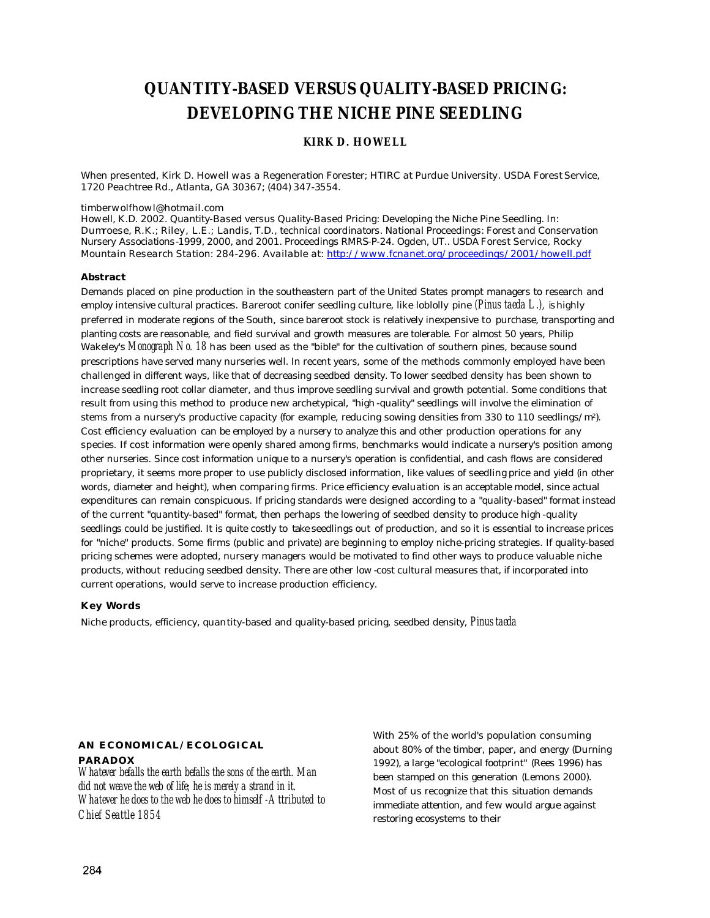# **QUANTITY-BASED VERSUS QUALITY-BASED PRICING: DEVELOPING THE NICHE PINE SEEDLING**

### **KIRK D. HOWELL**

*When presented, Kirk D. Howell was a Regeneration Forester; HTIRC at Purdue University. USDA Forest Service, 1720 Peachtree Rd., Atlanta, GA 30367; (404) 347-3554.*

#### *timberwolfhowl@hotmail.com*

*Howell, K.D. 2002. Quantity-Based versus Quality-Based Pricing: Developing the Niche Pine Seedling. In: Dumroese, R.K.; Riley, L.E.; Landis, T.D., technical coordinators. National Proceedings: Forest and Conservation Nursery Associations-1999, 2000, and 2001. Proceedings RMRS-P-24. Ogden, UT.. USDA Forest Service, Rocky Mountain Research Station: 284-296. Available at: http://www.fcnanet.org/proceedings/2001/howell.pdf*

#### **Abstract**

Demands placed on pine production in the southeastern part of the United States prompt managers to research and employ intensive cultural practices. Bareroot conifer seedling culture, like loblolly pine *(Pinus taeda L.), is* highly preferred in moderate regions of the South, since bareroot stock is relatively inexpensive to purchase, transporting and planting costs are reasonable, and field survival and growth measures are tolerable. For almost 50 years, Philip Wakeley's *Monograph No. 18* has been used as the "bible" for the cultivation of southern pines, because sound prescriptions have served many nurseries well. In recent years, some of the methods commonly employed have been challenged in different ways, like that of decreasing seedbed density. To lower seedbed density has been shown to increase seedling root collar diameter, and thus improve seedling survival and growth potential. Some conditions that result from using this method to produce new archetypical, "high-quality" seedlings will involve the elimination of stems from a nursery's productive capacity (for example, reducing sowing densities from 330 to 110 seedlings/m2). Cost efficiency evaluation can be employed by a nursery to analyze this and other production operations for any species. If cost information were openly shared among firms, benchmarks would indicate a nursery's position among other nurseries. Since cost information unique to a nursery's operation is confidential, and cash flows are considered proprietary, it seems more proper to use publicly disclosed information, like values of seedling price and yield (in other words, diameter and height), when comparing firms. Price efficiency evaluation is an acceptable model, since actual expenditures can remain conspicuous. If pricing standards were designed according to a "quality-based" format instead of the current "quantity-based" format, then perhaps the lowering of seedbed density to produce high-quality seedlings could be justified. It is quite costly to take seedlings out of production, and so it is essential to increase prices for "niche" products. Some firms (public and private) are beginning to employ niche-pricing strategies. If quality-based pricing schemes were adopted, nursery managers would be motivated to find other ways to produce valuable niche products, without reducing seedbed density. There are other low -cost cultural measures that, if incorporated into current operations, would serve to increase production efficiency.

#### **Key Words**

Niche products, efficiency, quantity-based and quality-based pricing, seedbed density, *Pinus taeda*

# **AN ECONOMICAL/ECOLOGICAL**

#### **PARADOX**

*Whatever befalls the earth befalls the sons of the earth. Man did not weave the web of life; he is merely a strand in it. Whatever he does to the web he does to himself -Attributed to Chief Seattle 1854*

With 25% of the world's population consuming about 80% of the timber, paper, and energy (Durning 1992), a large "ecological footprint" (Rees 1996) has been stamped on this generation (Lemons 2000). Most of us recognize that this situation demands immediate attention, and few would argue against restoring ecosystems to their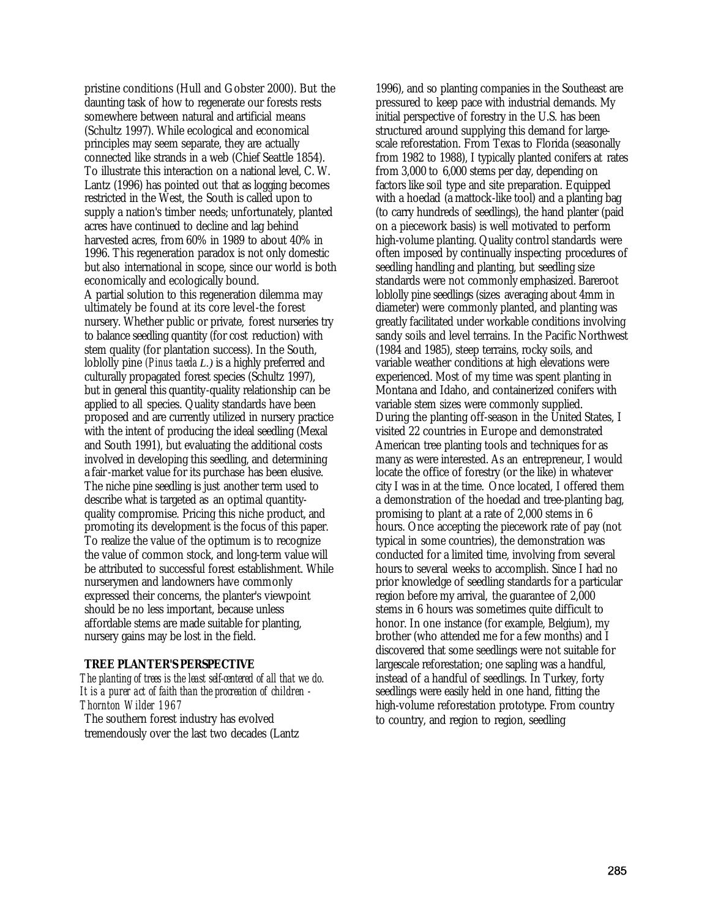pristine conditions (Hull and Gobster 2000). But the daunting task of how to regenerate our forests rests somewhere between natural and artificial means (Schultz 1997). While ecological and economical principles may seem separate, they are actually connected like strands in a web (Chief Seattle 1854). To illustrate this interaction on a national level, C. W. Lantz (1996) has pointed out that as logging becomes restricted in the West, the South is called upon to supply a nation's timber needs; unfortunately, planted acres have continued to decline and lag behind harvested acres, from 60% in 1989 to about 40% in 1996. This regeneration paradox is not only domestic but also international in scope, since our world is both economically and ecologically bound. A partial solution to this regeneration dilemma may ultimately be found at its core level-the forest nursery. Whether public or private, forest nurseries try to balance seedling quantity (for cost reduction) with stem quality (for plantation success). In the South, loblolly pine *(Pinus taeda L.)* is a highly preferred and culturally propagated forest species (Schultz 1997), but in general this quantity-quality relationship can be applied to all species. Quality standards have been proposed and are currently utilized in nursery practice with the intent of producing the ideal seedling (Mexal and South 1991), but evaluating the additional costs involved in developing this seedling, and determining a fair-market value for its purchase has been elusive. The niche pine seedling is just another term used to describe what is targeted as an optimal quantityquality compromise. Pricing this niche product, and promoting its development is the focus of this paper. To realize the value of the optimum is to recognize the value of common stock, and long-term value will be attributed to successful forest establishment. While nurserymen and landowners have commonly expressed their concerns, the planter's viewpoint should be no less important, because unless affordable stems are made suitable for planting, nursery gains may be lost in the field.

# **TREE PLANTER'S PERSPECTIVE**

*The planting of trees is the least self-centered of all that we do. It is a purer act of faith than the procreation of children - Thornton Wilder 1967*

The southern forest industry has evolved tremendously over the last two decades (Lantz

1996), and so planting companies in the Southeast are pressured to keep pace with industrial demands. My initial perspective of forestry in the U.S. has been structured around supplying this demand for largescale reforestation. From Texas to Florida (seasonally from 1982 to 1988), I typically planted conifers at rates from 3,000 to 6,000 stems per day, depending on factors like soil type and site preparation. Equipped with a hoedad (a mattock-like tool) and a planting bag (to carry hundreds of seedlings), the hand planter (paid on a piecework basis) is well motivated to perform high-volume planting. Quality control standards were often imposed by continually inspecting procedures of seedling handling and planting, but seedling size standards were not commonly emphasized. Bareroot loblolly pine seedlings (sizes averaging about 4mm in diameter) were commonly planted, and planting was greatly facilitated under workable conditions involving sandy soils and level terrains. In the Pacific Northwest (1984 and 1985), steep terrains, rocky soils, and variable weather conditions at high elevations were experienced. Most of my time was spent planting in Montana and Idaho, and containerized conifers with variable stem sizes were commonly supplied. During the planting off-season in the United States, I visited 22 countries in Europe and demonstrated American tree planting tools and techniques for as many as were interested. As an entrepreneur, I would locate the office of forestry (or the like) in whatever city I was in at the time. Once located, I offered them a demonstration of the hoedad and tree-planting bag, promising to plant at a rate of 2,000 stems in 6 hours. Once accepting the piecework rate of pay (not typical in some countries), the demonstration was conducted for a limited time, involving from several hours to several weeks to accomplish. Since I had no prior knowledge of seedling standards for a particular region before my arrival, the guarantee of 2,000 stems in 6 hours was sometimes quite difficult to honor. In one instance (for example, Belgium), my brother (who attended me for a few months) and I discovered that some seedlings were not suitable for largescale reforestation; one sapling was a handful, instead of a handful of seedlings. In Turkey, forty seedlings were easily held in one hand, fitting the high-volume reforestation prototype. From country to country, and region to region, seedling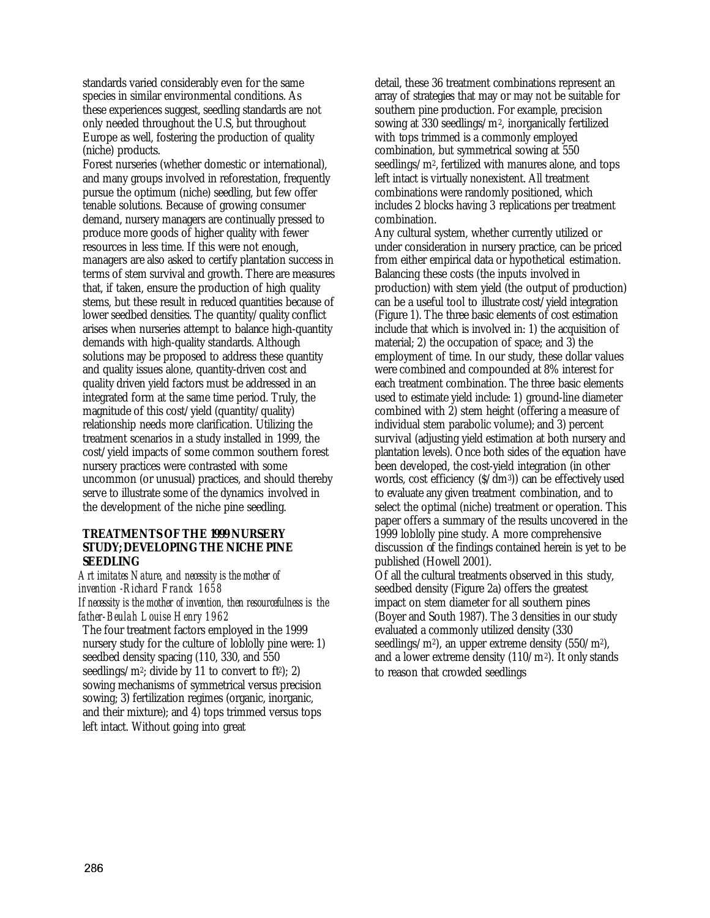standards varied considerably even for the same species in similar environmental conditions. As these experiences suggest, seedling standards are not only needed throughout the U.S, but throughout Europe as well, fostering the production of quality (niche) products.

Forest nurseries (whether domestic or international), and many groups involved in reforestation, frequently pursue the optimum (niche) seedling, but few offer tenable solutions. Because of growing consumer demand, nursery managers are continually pressed to produce more goods of higher quality with fewer resources in less time. If this were not enough, managers are also asked to certify plantation success in terms of stem survival and growth. There are measures that, if taken, ensure the production of high quality stems, but these result in reduced quantities because of lower seedbed densities. The quantity/quality conflict arises when nurseries attempt to balance high-quantity demands with high-quality standards. Although solutions may be proposed to address these quantity and quality issues alone, quantity-driven cost and quality driven yield factors must be addressed in an integrated form at the same time period. Truly, the magnitude of this cost/yield (quantity/quality) relationship needs more clarification. Utilizing the treatment scenarios in a study installed in 1999, the cost/yield impacts of some common southern forest nursery practices were contrasted with some uncommon (or unusual) practices, and should thereby serve to illustrate some of the dynamics involved in the development of the niche pine seedling.

# **TREATMENTS OF THE 1999 NURSERY STUDY; DEVELOPING THE NICHE PINE SEEDLING**

*Art imitates Nature, and necessity is the mother of invention -Richard Franck 1658 If necessity is the mother of invention, then resourcefulness is the father-Beulah Louise Henry 1962* The four treatment factors employed in the 1999

nursery study for the culture of loblolly pine were: 1) seedbed density spacing (110, 330, and 550 seedlings/m<sup>2</sup>; divide by 11 to convert to ft<sup>2</sup>); 2) sowing mechanisms of symmetrical versus precision sowing; 3) fertilization regimes (organic, inorganic, and their mixture); and 4) tops trimmed versus tops left intact. Without going into great

detail, these 36 treatment combinations represent an array of strategies that may or may not be suitable for southern pine production. For example, precision sowing at 330 seedlings/m2, inorganically fertilized with tops trimmed is a commonly employed combination, but symmetrical sowing at 550 seedlings/m2, fertilized with manures alone, and tops left intact is virtually nonexistent. All treatment combinations were randomly positioned, which includes 2 blocks having 3 replications per treatment combination.

Any cultural system, whether currently utilized or under consideration in nursery practice, can be priced from either empirical data or hypothetical estimation. Balancing these costs (the inputs involved in production) with stem yield (the output of production) can be a useful tool to illustrate cost/yield integration (Figure 1). The three basic elements of cost estimation include that which is involved in: 1) the acquisition of material; 2) the occupation of space; and 3) the employment of time. In our study, these dollar values were combined and compounded at 8% interest for each treatment combination. The three basic elements used to estimate yield include: 1) ground-line diameter combined with 2) stem height (offering a measure of individual stem parabolic volume); and 3) percent survival (adjusting yield estimation at both nursery and plantation levels). Once both sides of the equation have been developed, the cost-yield integration (in other words, cost efficiency (\$/dm3)) can be effectively used to evaluate any given treatment combination, and to select the optimal (niche) treatment or operation. This paper offers a summary of the results uncovered in the 1999 loblolly pine study. A more comprehensive discussion of the findings contained herein is yet to be published (Howell 2001).

Of all the cultural treatments observed in this study, seedbed density (Figure 2a) offers the greatest impact on stem diameter for all southern pines (Boyer and South 1987). The 3 densities in our study evaluated a commonly utilized density (330 seedlings/m<sup>2</sup>), an upper extreme density  $(550/m<sup>2</sup>)$ , and a lower extreme density (110/m2). It only stands to reason that crowded seedlings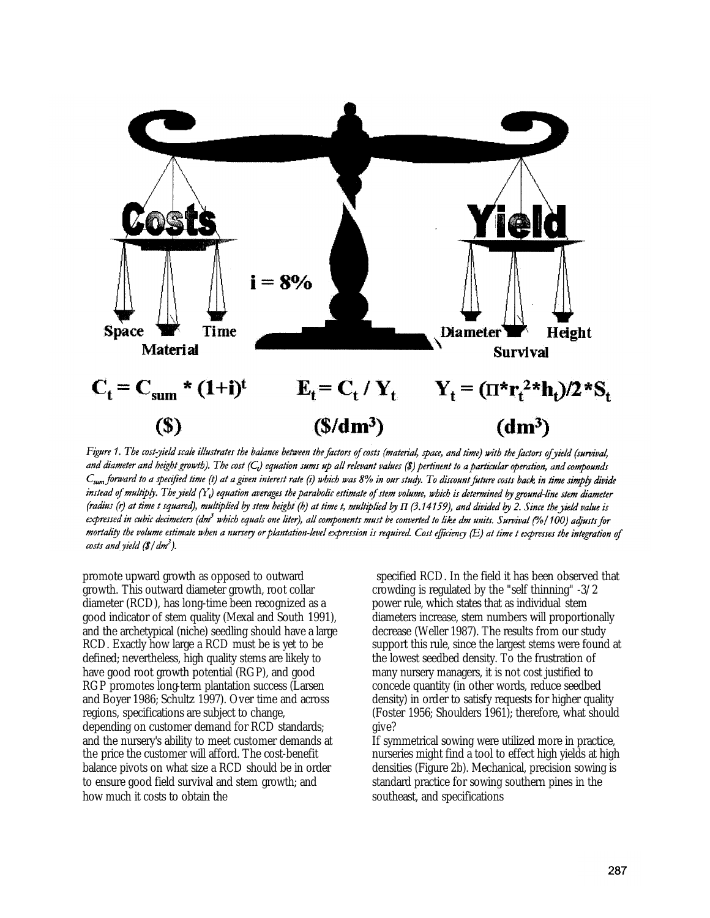

Figure 1. The cost-yield scale illustrates the balance between the factors of costs (material, space, and time) with the factors of yield (survival, and diameter and height growth). The cost  $(C_i)$  equation sums up all relevant values (\$) pertinent to a particular operation, and compounds C<sub>sum</sub> forward to a specified time (t) at a given interest rate (i) which was 8% in our study. To discount future costs back in time simply divide instead of multiply. The yield  $(Y_t)$  equation averages the parabolic estimate of stem volume, which is determined by ground-line stem diameter (radius (r) at time t squared), multiplied by stem height (h) at time t, multiplied by  $\Pi$  (3.14159), and divided by 2. Since the yield value is expressed in cubic decimeters (dm<sup>3</sup> which equals one liter), all components must be converted to like dm units. Survival (%/100) adjusts for mortality the volume estimate when a nursery or plantation-level expression is required. Cost efficiency (E) at time t expresses the integration of costs and yield  $(\frac{g}{dm^3})$ .

promote upward growth as opposed to outward growth. This outward diameter growth, root collar diameter (RCD), has long-time been recognized as a good indicator of stem quality (Mexal and South 1991), and the archetypical (niche) seedling should have a large RCD. Exactly how large a RCD must be is yet to be defined; nevertheless, high quality stems are likely to have good root growth potential (RGP), and good RGP promotes long-term plantation success (Larsen and Boyer 1986; Schultz 1997). Over time and across regions, specifications are subject to change, depending on customer demand for RCD standards; and the nursery's ability to meet customer demands at the price the customer will afford. The cost-benefit balance pivots on what size a RCD should be in order to ensure good field survival and stem growth; and how much it costs to obtain the

specified RCD. In the field it has been observed that crowding is regulated by the "self thinning" -3/2 power rule, which states that as individual stem diameters increase, stem numbers will proportionally decrease (Weller 1987). The results from our study support this rule, since the largest stems were found at the lowest seedbed density. To the frustration of many nursery managers, it is not cost justified to concede quantity (in other words, reduce seedbed density) in order to satisfy requests for higher quality (Foster 1956; Shoulders 1961); therefore, what should give?

If symmetrical sowing were utilized more in practice, nurseries might find a tool to effect high yields at high densities (Figure 2b). Mechanical, precision sowing is standard practice for sowing southern pines in the southeast, and specifications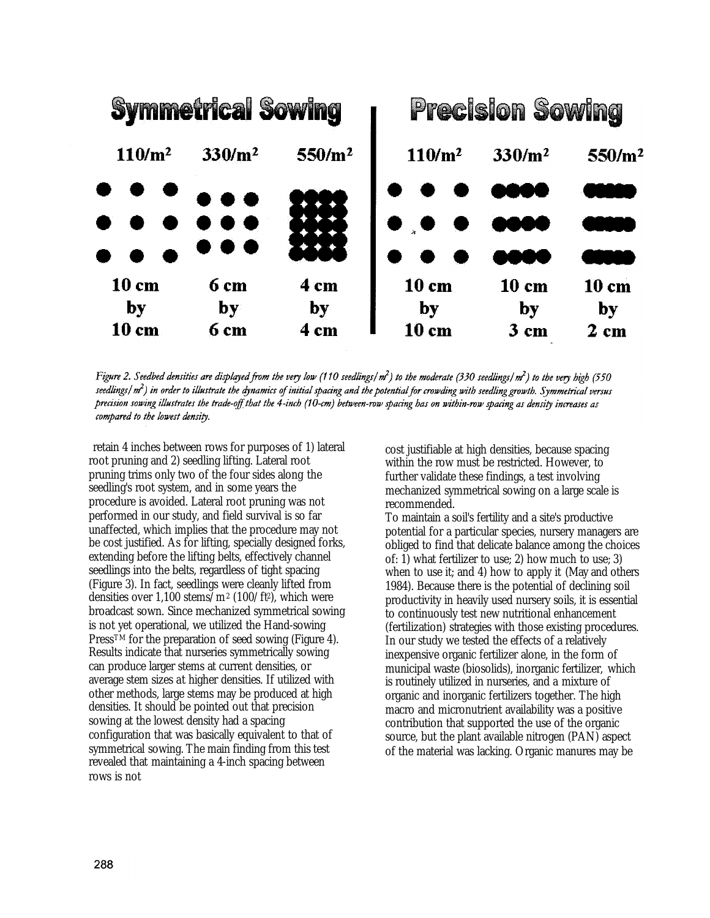

Figure 2. Seedbed densities are displayed from the very low (110 seedlings/ $m^2$ ) to the moderate (330 seedlings/ $m^2$ ) to the very high (550 seedlings  $(m^2)$  in order to illustrate the dynamics of initial spacing and the potential for crowding with seedling growth. Symmetrical versus precision sowing illustrates the trade-off that the 4-inch (10-cm) between-row spacing has on within-row spacing as density increases as compared to the lowest density.

retain 4 inches between rows for purposes of 1) lateral root pruning and 2) seedling lifting. Lateral root pruning trims only two of the four sides along the seedling's root system, and in some years the procedure is avoided. Lateral root pruning was not performed in our study, and field survival is so far unaffected, which implies that the procedure may not be cost justified. As for lifting, specially designed forks, extending before the lifting belts, effectively channel seedlings into the belts, regardless of tight spacing (Figure 3). In fact, seedlings were cleanly lifted from densities over  $1,100$  stems/m<sup>2</sup> (100/ft<sup>2</sup>), which were broadcast sown. Since mechanized symmetrical sowing is not yet operational, we utilized the Hand-sowing Press<sup>TM</sup> for the preparation of seed sowing (Figure 4). Results indicate that nurseries symmetrically sowing can produce larger stems at current densities, or average stem sizes at higher densities. If utilized with other methods, large stems may be produced at high densities. It should be pointed out that precision sowing at the lowest density had a spacing configuration that was basically equivalent to that of symmetrical sowing. The main finding from this test revealed that maintaining a 4-inch spacing between rows is not

cost justifiable at high densities, because spacing within the row must be restricted. However, to further validate these findings, a test involving mechanized symmetrical sowing on a large scale is recommended.

To maintain a soil's fertility and a site's productive potential for a particular species, nursery managers are obliged to find that delicate balance among the choices of: 1) what fertilizer to use; 2) how much to use; 3) when to use it; and 4) how to apply it (May and others 1984). Because there is the potential of declining soil productivity in heavily used nursery soils, it is essential to continuously test new nutritional enhancement (fertilization) strategies with those existing procedures. In our study we tested the effects of a relatively inexpensive organic fertilizer alone, in the form of municipal waste (biosolids), inorganic fertilizer, which is routinely utilized in nurseries, and a mixture of organic and inorganic fertilizers together. The high macro and micronutrient availability was a positive contribution that supported the use of the organic source, but the plant available nitrogen (PAN) aspect of the material was lacking. Organic manures may be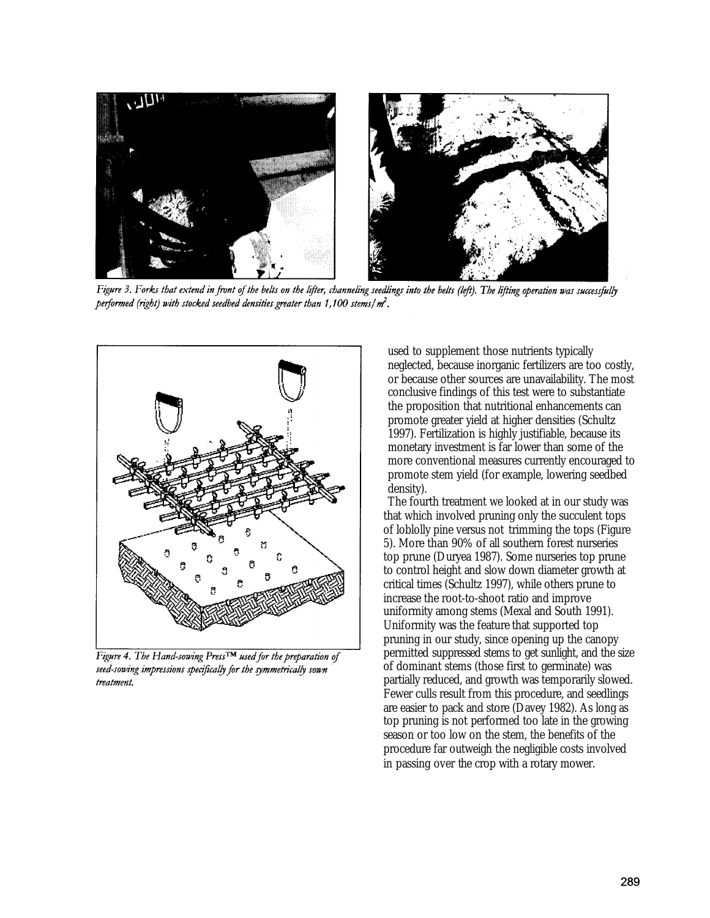

Figure 3. Forks that extend in front of the belts on the lifter, channeling seedlings into the belts (left). The lifting operation was successfully performed (right) with stocked seedbed densities greater than  $1,100$  stems/ $m<sup>2</sup>$ .



Figure 4. The Hand-sowing Press™ used for the preparation of seed-sowing impressions specifically for the symmetrically sown treatment.

used to supplement those nutrients typically neglected, because inorganic fertilizers are too costly, or because other sources are unavailability. The most conclusive findings of this test were to substantiate the proposition that nutritional enhancements can promote greater yield at higher densities (Schultz 1997). Fertilization is highly justifiable, because its monetary investment is far lower than some of the more conventional measures currently encouraged to promote stem yield (for example, lowering seedbed density).

The fourth treatment we looked at in our study was that which involved pruning only the succulent tops of loblolly pine versus not trimming the tops (Figure 5). More than 90% of all southern forest nurseries top prune (Duryea 1987). Some nurseries top prune to control height and slow down diameter growth at critical times (Schultz 1997), while others prune to increase the root-to-shoot ratio and improve uniformity among stems (Mexal and South 1991). Uniformity was the feature that supported top pruning in our study, since opening up the canopy permitted suppressed stems to get sunlight, and the size of dominant stems (those first to germinate) was partially reduced, and growth was temporarily slowed. Fewer culls result from this procedure, and seedlings are easier to pack and store (Davey 1982). As long as top pruning is not performed too late in the growing season or too low on the stem, the benefits of the procedure far outweigh the negligible costs involved in passing over the crop with a rotary mower.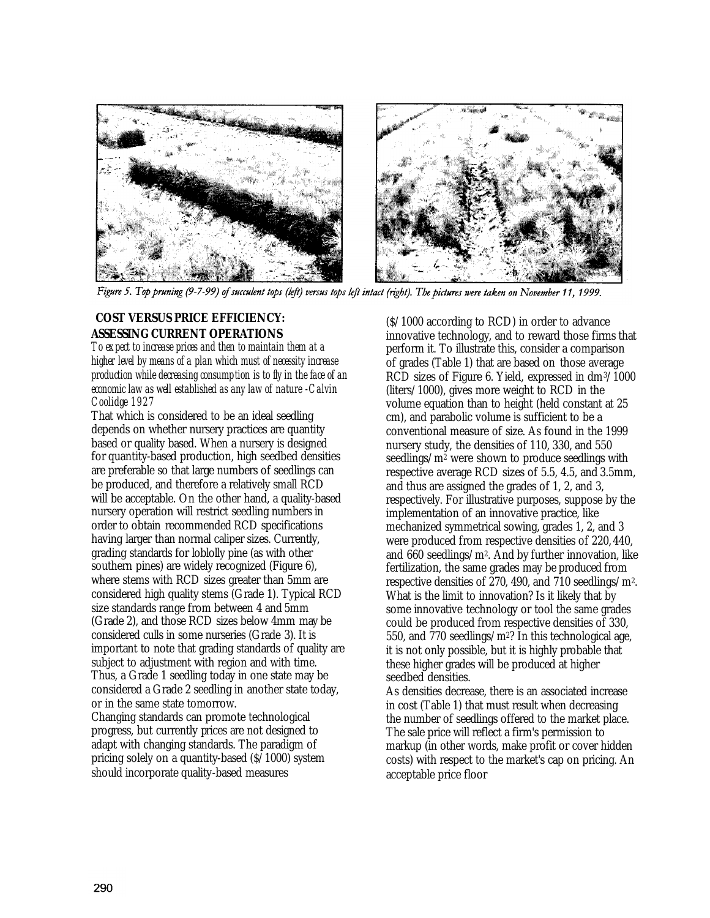![](_page_6_Picture_0.jpeg)

![](_page_6_Picture_1.jpeg)

Figure 5. Top pruning (9-7-99) of succulent tops (left) versus tops left intact (right). The pictures were taken on November 11, 1999.

# **COST VERSUS PRICE EFFICIENCY: ASSESSING CURRENT OPERATIONS**

*To expect to increase prices and then to maintain them at a higher level by means of a plan which must of necessity increase production while decreasing consumption is to fly in the face of an economic law as well established as any law of nature -Calvin Coolidge 1927*

That which is considered to be an ideal seedling depends on whether nursery practices are quantity based or quality based. When a nursery is designed for quantity-based production, high seedbed densities are preferable so that large numbers of seedlings can be produced, and therefore a relatively small RCD will be acceptable. On the other hand, a quality-based nursery operation will restrict seedling numbers in order to obtain recommended RCD specifications having larger than normal caliper sizes. Currently, grading standards for loblolly pine (as with other southern pines) are widely recognized (Figure 6), where stems with RCD sizes greater than 5mm are considered high quality stems (Grade 1). Typical RCD size standards range from between 4 and 5mm (Grade 2), and those RCD sizes below 4mm may be considered culls in some nurseries (Grade 3). It is important to note that grading standards of quality are subject to adjustment with region and with time. Thus, a Grade 1 seedling today in one state may be considered a Grade 2 seedling in another state today, or in the same state tomorrow.

Changing standards can promote technological progress, but currently prices are not designed to adapt with changing standards. The paradigm of pricing solely on a quantity-based (\$/1000) system should incorporate quality-based measures

(\$/1000 according to RCD) in order to advance innovative technology, and to reward those firms that perform it. To illustrate this, consider a comparison of grades (Table 1) that are based on those average RCD sizes of Figure 6. Yield, expressed in dm3/1000 (liters/1000), gives more weight to RCD in the volume equation than to height (held constant at 25 cm), and parabolic volume is sufficient to be a conventional measure of size. As found in the 1999 nursery study, the densities of 110, 330, and 550 seedlings/m2 were shown to produce seedlings with respective average RCD sizes of 5.5, 4.5, and 3.5mm, and thus are assigned the grades of 1, 2, and 3, respectively. For illustrative purposes, suppose by the implementation of an innovative practice, like mechanized symmetrical sowing, grades 1, 2, and 3 were produced from respective densities of 220, 440, and 660 seedlings/m2. And by further innovation, like fertilization, the same grades may be produced from respective densities of 270, 490, and 710 seedlings/m2. What is the limit to innovation? Is it likely that by some innovative technology or tool the same grades could be produced from respective densities of 330, 550, and 770 seedlings/m2? In this technological age, it is not only possible, but it is highly probable that these higher grades will be produced at higher seedbed densities.

As densities decrease, there is an associated increase in cost (Table 1) that must result when decreasing the number of seedlings offered to the market place. The sale price will reflect a firm's permission to markup (in other words, make profit or cover hidden costs) with respect to the market's cap on pricing. An acceptable price floor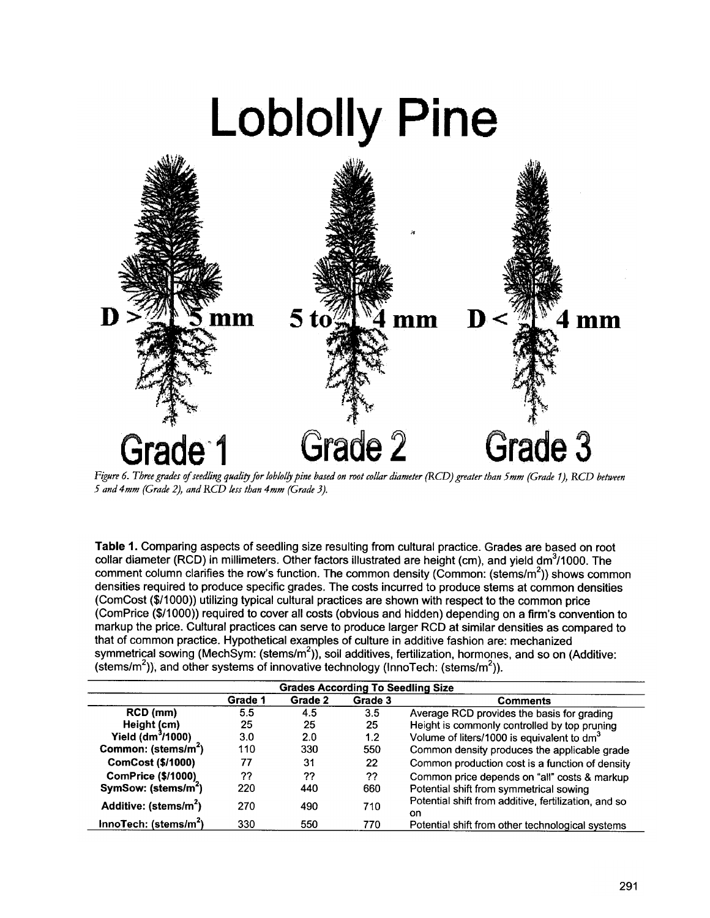# **Loblolly Pine**

![](_page_7_Figure_1.jpeg)

Figure 6. Three grades of seedling quality for loblolly pine based on root collar diameter (RCD) greater than 5mm (Grade 1), RCD between 5 and 4mm (Grade 2), and RCD less than 4mm (Grade 3).

Table 1. Comparing aspects of seedling size resulting from cultural practice. Grades are based on root collar diameter (RCD) in millimeters. Other factors illustrated are height (cm), and yield dm<sup>3</sup>/1000. The comment column clarifies the row's function. The common density (Common: (stems/ $m<sup>2</sup>$ )) shows common densities required to produce specific grades. The costs incurred to produce stems at common densities (ComCost (\$/1000)) utilizing typical cultural practices are shown with respect to the common price (ComPrice (\$/1000)) required to cover all costs (obvious and hidden) depending on a firm's convention to markup the price. Cultural practices can serve to produce larger RCD at similar densities as compared to that of common practice. Hypothetical examples of culture in additive fashion are: mechanized symmetrical sowing (MechSym: (stems/m<sup>2</sup>)), soil additives, fertilization, hormones, and so on (Additive: (stems/m<sup>2</sup>)), and other systems of innovative technology (InnoTech: (stems/m<sup>2</sup>)).

| <b>Grades According To Seedling Size</b> |         |         |         |                                                             |  |
|------------------------------------------|---------|---------|---------|-------------------------------------------------------------|--|
|                                          | Grade 1 | Grade 2 | Grade 3 | <b>Comments</b>                                             |  |
| RCD (mm)                                 | 5.5     | 4.5     | 3.5     | Average RCD provides the basis for grading                  |  |
| Height (cm)                              | 25      | 25      | 25      | Height is commonly controlled by top pruning                |  |
| Yield $(dm^3/1000)$                      | 3.0     | 2.0     | 1.2     | Volume of liters/1000 is equivalent to dm <sup>3</sup>      |  |
| Common: (stems/m <sup>2</sup> )          | 110     | 330     | 550     | Common density produces the applicable grade                |  |
| <b>ComCost (\$/1000)</b>                 | 77      | 31      | 22      | Common production cost is a function of density             |  |
| <b>ComPrice (\$/1000)</b>                | ??      | ??      | ??      | Common price depends on "all" costs & markup                |  |
| SymSow: (stems/m <sup>2</sup> )          | 220     | 440     | 660     | Potential shift from symmetrical sowing                     |  |
| Additive: (stems/m <sup>2</sup> )        | 270     | 490     | 710     | Potential shift from additive, fertilization, and so<br>on. |  |
| InnoTech: (stems/m <sup>2</sup> )        | 330     | 550     | 770     | Potential shift from other technological systems            |  |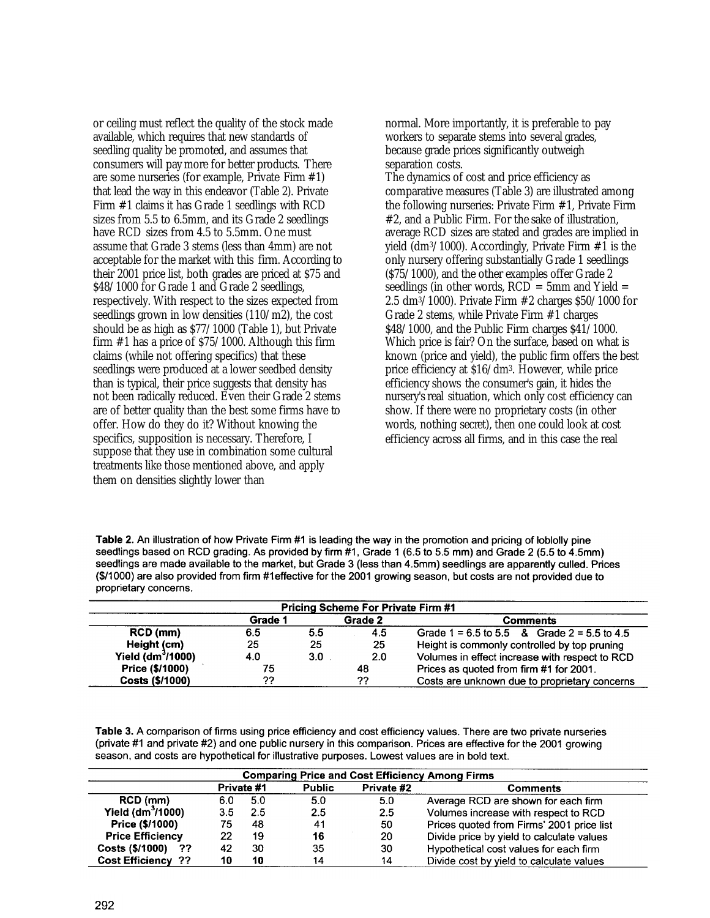or ceiling must reflect the quality of the stock made available, which requires that new standards of seedling quality be promoted, and assumes that consumers will pay more for better products. There are some nurseries (for example, Private Firm #1) that lead the way in this endeavor (Table 2). Private Firm #1 claims it has Grade 1 seedlings with RCD sizes from 5.5 to 6.5mm, and its Grade 2 seedlings have RCD sizes from 4.5 to 5.5mm. One must assume that Grade 3 stems (less than 4mm) are not acceptable for the market with this firm. According to their 2001 price list, both grades are priced at \$75 and \$48/1000 for Grade 1 and Grade 2 seedlings, respectively. With respect to the sizes expected from seedlings grown in low densities (110/m2), the cost should be as high as \$77/1000 (Table 1), but Private firm #1 has a price of \$75/1000. Although this firm claims (while not offering specifics) that these seedlings were produced at a lower seedbed density than is typical, their price suggests that density has not been radically reduced. Even their Grade 2 stems are of better quality than the best some firms have to offer. How do they do it? Without knowing the specifics, supposition is necessary. Therefore, I suppose that they use in combination some cultural treatments like those mentioned above, and apply them on densities slightly lower than

normal. More importantly, it is preferable to pay workers to separate stems into several grades, because grade prices significantly outweigh separation costs.

The dynamics of cost and price efficiency as comparative measures (Table 3) are illustrated among the following nurseries: Private Firm #1, Private Firm #2, and a Public Firm. For the sake of illustration, average RCD sizes are stated and grades are implied in yield (dm3/1000). Accordingly, Private Firm #1 is the only nursery offering substantially Grade 1 seedlings (\$75/1000), and the other examples offer Grade 2 seedlings (in other words,  $RCD = 5$ mm and Yield  $=$ 2.5 dm3/1000). Private Firm #2 charges \$50/1000 for Grade 2 stems, while Private Firm #1 charges \$48/1000, and the Public Firm charges \$41/1000. Which price is fair? On the surface, based on what is known (price and yield), the public firm offers the best price efficiency at \$16/dm3. However, while price efficiency shows the consumer's gain, it hides the nursery's real situation, which only cost efficiency can show. If there were no proprietary costs (in other words, nothing secret), then one could look at cost efficiency across all firms, and in this case the real

Table 2. An illustration of how Private Firm #1 is leading the way in the promotion and pricing of loblolly pine seedlings based on RCD grading. As provided by firm #1, Grade 1 (6.5 to 5.5 mm) and Grade 2 (5.5 to 4.5mm) seedlings are made available to the market, but Grade 3 (less than 4.5mm) seedlings are apparently culled. Prices (\$/1000) are also provided from firm #1effective for the 2001 growing season, but costs are not provided due to proprietary concerns.

| <b>Pricing Scheme For Private Firm #1</b> |         |     |         |                                                 |  |  |
|-------------------------------------------|---------|-----|---------|-------------------------------------------------|--|--|
|                                           | Grade 1 |     | Grade 2 | Comments                                        |  |  |
| RCD (mm)                                  | 6.5     | 5.5 | 4.5     | Grade $1 = 6.5$ to 5.5 & Grade $2 = 5.5$ to 4.5 |  |  |
| Height (cm)                               | 25      | 25  | -25     | Height is commonly controlled by top pruning    |  |  |
| Yield (dm <sup>3</sup> /1000)             | 4.0     | 3.0 | 2.0     | Volumes in effect increase with respect to RCD  |  |  |
| Price (\$/1000)                           | 75      |     | 48      | Prices as quoted from firm #1 for 2001.         |  |  |
| Costs (\$/1000)                           | ??      |     | 77      | Costs are unknown due to proprietary concerns   |  |  |

Table 3. A comparison of firms using price efficiency and cost efficiency values. There are two private nurseries (private #1 and private #2) and one public nursery in this comparison. Prices are effective for the 2001 growing season, and costs are hypothetical for illustrative purposes. Lowest values are in bold text.

| <b>Comparing Price and Cost Efficiency Among Firms</b> |     |            |               |                  |                                           |  |
|--------------------------------------------------------|-----|------------|---------------|------------------|-------------------------------------------|--|
|                                                        |     | Private #1 | <b>Public</b> | Private #2       | <b>Comments</b>                           |  |
| RCD (mm)                                               | 6.0 | 5.0        | 5.0           | 5.0              | Average RCD are shown for each firm       |  |
| Yield $(dm^3/1000)$                                    | 3.5 | 2.5        | 2.5           | $2.5\phantom{0}$ | Volumes increase with respect to RCD      |  |
| Price (\$/1000)                                        | 75  | 48         | 41            | 50               | Prices quoted from Firms' 2001 price list |  |
| <b>Price Efficiency</b>                                | 22  | 19         | 16            | 20               | Divide price by yield to calculate values |  |
| Costs (\$/1000)<br>- ??                                | 42  | 30         | 35            | 30               | Hypothetical cost values for each firm    |  |
| <b>Cost Efficiency ??</b>                              | 10  | 10         | 14            | 14               | Divide cost by yield to calculate values  |  |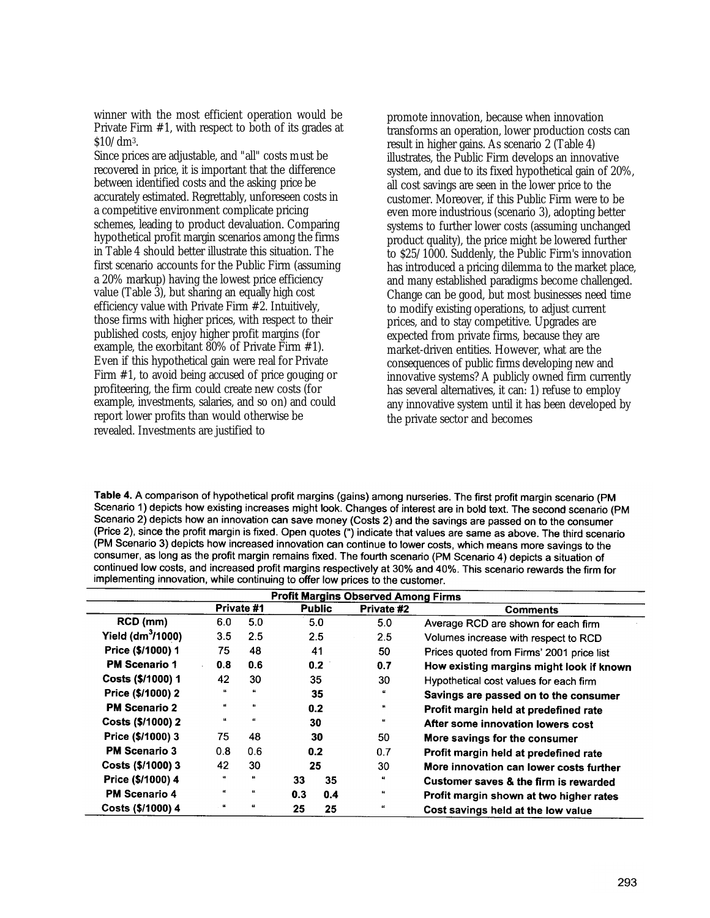winner with the most efficient operation would be Private Firm #1, with respect to both of its grades at \$10/dm3.

Since prices are adjustable, and "all" costs must be recovered in price, it is important that the difference between identified costs and the asking price be accurately estimated. Regrettably, unforeseen costs in a competitive environment complicate pricing schemes, leading to product devaluation. Comparing hypothetical profit margin scenarios among the firms in Table 4 should better illustrate this situation. The first scenario accounts for the Public Firm (assuming a 20% markup) having the lowest price efficiency value (Table 3), but sharing an equally high cost efficiency value with Private Firm #2. Intuitively, those firms with higher prices, with respect to their published costs, enjoy higher profit margins (for example, the exorbitant 80% of Private Firm #1). Even if this hypothetical gain were real for Private Firm #1, to avoid being accused of price gouging or profiteering, the firm could create new costs (for example, investments, salaries, and so on) and could report lower profits than would otherwise be revealed. Investments are justified to

promote innovation, because when innovation transforms an operation, lower production costs can result in higher gains. As scenario 2 (Table 4) illustrates, the Public Firm develops an innovative system, and due to its fixed hypothetical gain of 20%, all cost savings are seen in the lower price to the customer. Moreover, if this Public Firm were to be even more industrious (scenario 3), adopting better systems to further lower costs (assuming unchanged product quality), the price might be lowered further to \$25/1000. Suddenly, the Public Firm's innovation has introduced a pricing dilemma to the market place, and many established paradigms become challenged. Change can be good, but most businesses need time to modify existing operations, to adjust current prices, and to stay competitive. Upgrades are expected from private firms, because they are market-driven entities. However, what are the consequences of public firms developing new and innovative systems? A publicly owned firm currently has several alternatives, it can: 1) refuse to employ any innovative system until it has been developed by the private sector and becomes

Table 4. A comparison of hypothetical profit margins (gains) among nurseries. The first profit margin scenario (PM Scenario 1) depicts how existing increases might look. Changes of interest are in bold text. The second scenario (PM Scenario 2) depicts how an innovation can save money (Costs 2) and the savings are passed on to the consumer (Price 2), since the profit margin is fixed. Open quotes (") indicate that values are same as above. The third scenario (PM Scenario 3) depicts how increased innovation can continue to lower costs, which means more savings to the consumer, as long as the profit margin remains fixed. The fourth scenario (PM Scenario 4) depicts a situation of continued low costs, and increased profit margins respectively at 30% and 40%. This scenario rewards the firm for implementing innovation, while continuing to offer low prices to the customer.

| <b>Profit Margins Observed Among Firms</b> |                             |             |               |     |                    |                                           |
|--------------------------------------------|-----------------------------|-------------|---------------|-----|--------------------|-------------------------------------------|
|                                            |                             | Private #1  | <b>Public</b> |     | Private #2         | <b>Comments</b>                           |
| RCD (mm)                                   | 6.0                         | 5.0         |               | 5.0 | 5.0                | Average RCD are shown for each firm       |
| Yield (dm $3/1000$ )                       | 3.5                         | 2.5         | 2.5           |     | 2.5                | Volumes increase with respect to RCD      |
| Price (\$/1000) 1                          | 75                          | 48          | 41            |     | 50                 | Prices quoted from Firms' 2001 price list |
| <b>PM Scenario 1</b>                       | 0.8                         | 0.6         | 0.2           |     | 0.7                | How existing margins might look if known  |
| Costs (\$/1000) 1                          | 42                          | 30          | 35            |     | 30                 | Hypothetical cost values for each firm    |
| Price (\$/1000) 2                          | $\epsilon$                  | $\pmb{\mu}$ | 35            |     | $\boldsymbol{\mu}$ | Savings are passed on to the consumer     |
| <b>PM Scenario 2</b>                       | u                           | ts.         |               | 0.2 | и.                 | Profit margin held at predefined rate     |
| Costs (\$/1000) 2                          | $\boldsymbol{\mathfrak{c}}$ | $\alpha$    |               | 30  | $\boldsymbol{\mu}$ | After some innovation lowers cost         |
| Price (\$/1000) 3                          | 75                          | 48          |               | 30  | 50                 | More savings for the consumer             |
| <b>PM Scenario 3</b>                       | 0.8                         | 0.6         |               | 0.2 | 0.7                | Profit margin held at predefined rate     |
| Costs (\$/1000) 3                          | 42                          | 30          | 25            |     | 30                 | More innovation can lower costs further   |
| Price (\$/1000) 4                          | $\pmb{\mathfrak{u}}$        | u           | 33            | 35  | 4                  | Customer saves & the firm is rewarded     |
| <b>PM Scenario 4</b>                       | $\pmb{\mu}$                 | $\alpha$    | 0.3           | 0.4 | $\boldsymbol{\mu}$ | Profit margin shown at two higher rates   |
| Costs (\$/1000) 4                          | $\pmb{\mu}$                 | $\pmb{\mu}$ | 25            | 25  | 44                 | Cost savings held at the low value        |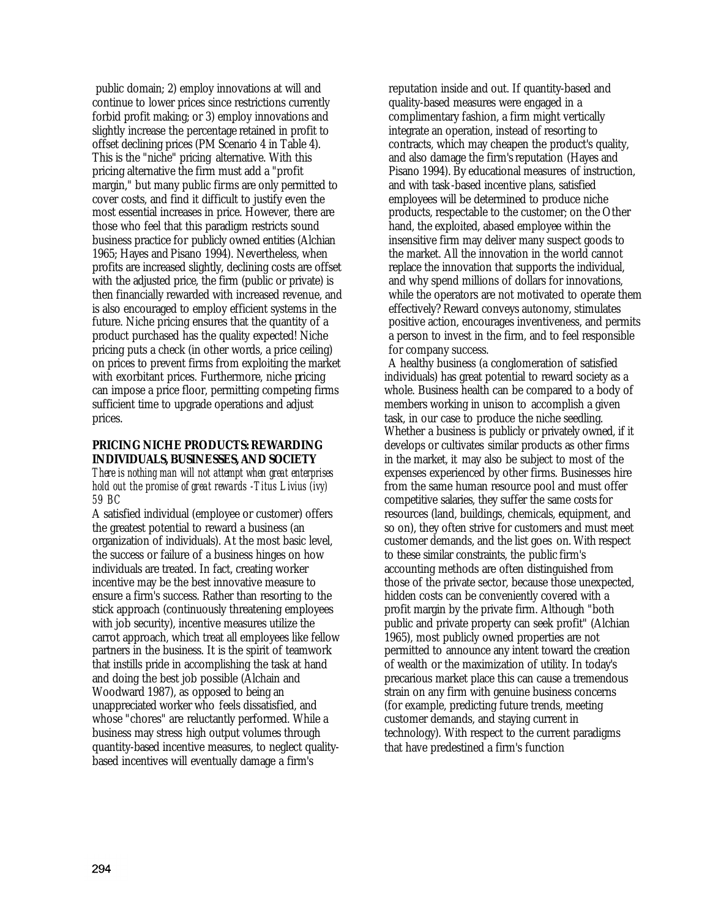public domain; 2) employ innovations at will and continue to lower prices since restrictions currently forbid profit making; or 3) employ innovations and slightly increase the percentage retained in profit to offset declining prices (PM Scenario 4 in Table 4). This is the "niche" pricing alternative. With this pricing alternative the firm must add a "profit margin," but many public firms are only permitted to cover costs, and find it difficult to justify even the most essential increases in price. However, there are those who feel that this paradigm restricts sound business practice for publicly owned entities (Alchian 1965; Hayes and Pisano 1994). Nevertheless, when profits are increased slightly, declining costs are offset with the adjusted price, the firm (public or private) is then financially rewarded with increased revenue, and is also encouraged to employ efficient systems in the future. Niche pricing ensures that the quantity of a product purchased has the quality expected! Niche pricing puts a check (in other words, a price ceiling) on prices to prevent firms from exploiting the market with exorbitant prices. Furthermore, niche pricing can impose a price floor, permitting competing firms sufficient time to upgrade operations and adjust prices.

# **PRICING NICHE PRODUCTS: REWARDING INDIVIDUALS, BUSINESSES, AND SOCIETY**

*There is nothing man will not attempt when great enterprises hold out the promise of great rewards -Titus Livius (ivy) 59 BC*

A satisfied individual (employee or customer) offers the greatest potential to reward a business (an organization of individuals). At the most basic level, the success or failure of a business hinges on how individuals are treated. In fact, creating worker incentive may be the best innovative measure to ensure a firm's success. Rather than resorting to the stick approach (continuously threatening employees with job security), incentive measures utilize the carrot approach, which treat all employees like fellow partners in the business. It is the spirit of teamwork that instills pride in accomplishing the task at hand and doing the best job possible (Alchain and Woodward 1987), as opposed to being an unappreciated worker who feels dissatisfied, and whose "chores" are reluctantly performed. While a business may stress high output volumes through quantity-based incentive measures, to neglect qualitybased incentives will eventually damage a firm's

reputation inside and out. If quantity-based and quality-based measures were engaged in a complimentary fashion, a firm might vertically integrate an operation, instead of resorting to contracts, which may cheapen the product's quality, and also damage the firm's reputation (Hayes and Pisano 1994). By educational measures of instruction, and with task -based incentive plans, satisfied employees will be determined to produce niche products, respectable to the customer; on the Other hand, the exploited, abased employee within the insensitive firm may deliver many suspect goods to the market. All the innovation in the world cannot replace the innovation that supports the individual, and why spend millions of dollars for innovations, while the operators are not motivated to operate them effectively? Reward conveys autonomy, stimulates positive action, encourages inventiveness, and permits a person to invest in the firm, and to feel responsible for company success.

A healthy business (a conglomeration of satisfied individuals) has great potential to reward society as a whole. Business health can be compared to a body of members working in unison to accomplish a given task, in our case to produce the niche seedling. Whether a business is publicly or privately owned, if it develops or cultivates similar products as other firms in the market, it may also be subject to most of the expenses experienced by other firms. Businesses hire from the same human resource pool and must offer competitive salaries, they suffer the same costs for resources (land, buildings, chemicals, equipment, and so on), they often strive for customers and must meet customer demands, and the list goes on. With respect to these similar constraints, the public firm's accounting methods are often distinguished from those of the private sector, because those unexpected, hidden costs can be conveniently covered with a profit margin by the private firm. Although "both public and private property can seek profit" (Alchian 1965), most publicly owned properties are not permitted to announce any intent toward the creation of wealth or the maximization of utility. In today's precarious market place this can cause a tremendous strain on any firm with genuine business concerns (for example, predicting future trends, meeting customer demands, and staying current in technology). With respect to the current paradigms that have predestined a firm's function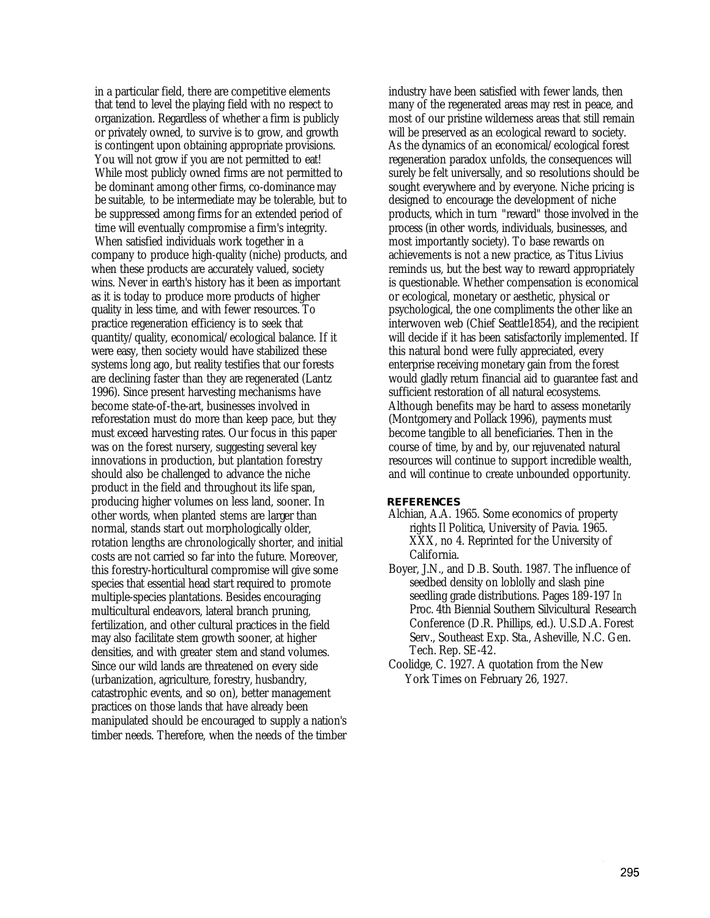in a particular field, there are competitive elements that tend to level the playing field with no respect to organization. Regardless of whether a firm is publicly or privately owned, to survive is to grow, and growth is contingent upon obtaining appropriate provisions. You will not grow if you are not permitted to eat! While most publicly owned firms are not permitted to be dominant among other firms, co-dominance may be suitable, to be intermediate may be tolerable, but to be suppressed among firms for an extended period of time will eventually compromise a firm's integrity. When satisfied individuals work together in a company to produce high-quality (niche) products, and when these products are accurately valued, society wins. Never in earth's history has it been as important as it is today to produce more products of higher quality in less time, and with fewer resources. To practice regeneration efficiency is to seek that quantity/quality, economical/ecological balance. If it were easy, then society would have stabilized these systems long ago, but reality testifies that our forests are declining faster than they are regenerated (Lantz 1996). Since present harvesting mechanisms have become state-of-the-art, businesses involved in reforestation must do more than keep pace, but they must exceed harvesting rates. Our focus in this paper was on the forest nursery, suggesting several key innovations in production, but plantation forestry should also be challenged to advance the niche product in the field and throughout its life span, producing higher volumes on less land, sooner. In other words, when planted stems are larger than normal, stands start out morphologically older, rotation lengths are chronologically shorter, and initial costs are not carried so far into the future. Moreover, this forestry-horticultural compromise will give some species that essential head start required to promote multiple-species plantations. Besides encouraging multicultural endeavors, lateral branch pruning, fertilization, and other cultural practices in the field may also facilitate stem growth sooner, at higher densities, and with greater stem and stand volumes. Since our wild lands are threatened on every side (urbanization, agriculture, forestry, husbandry, catastrophic events, and so on), better management practices on those lands that have already been manipulated should be encouraged to supply a nation's timber needs. Therefore, when the needs of the timber industry have been satisfied with fewer lands, then many of the regenerated areas may rest in peace, and most of our pristine wilderness areas that still remain will be preserved as an ecological reward to society. As the dynamics of an economical/ecological forest regeneration paradox unfolds, the consequences will surely be felt universally, and so resolutions should be sought everywhere and by everyone. Niche pricing is designed to encourage the development of niche products, which in turn "reward" those involved in the process (in other words, individuals, businesses, and most importantly society). To base rewards on achievements is not a new practice, as Titus Livius reminds us, but the best way to reward appropriately is questionable. Whether compensation is economical or ecological, monetary or aesthetic, physical or psychological, the one compliments the other like an interwoven web (Chief Seattle1854), and the recipient will decide if it has been satisfactorily implemented. If this natural bond were fully appreciated, every enterprise receiving monetary gain from the forest would gladly return financial aid to guarantee fast and sufficient restoration of all natural ecosystems. Although benefits may be hard to assess monetarily (Montgomery and Pollack 1996), payments must become tangible to all beneficiaries. Then in the course of time, by and by, our rejuvenated natural resources will continue to support incredible wealth, and will continue to create unbounded opportunity.

#### **REFERENCES**

- Alchian, A.A. 1965. Some economics of property rights Il Politica, University of Pavia. 1965. XXX, no 4. Reprinted for the University of California.
- Boyer, J.N., and D.B. South. 1987. The influence of seedbed density on loblolly and slash pine seedling grade distributions. Pages 189-197 *In*  Proc. 4th Biennial Southern Silvicultural Research Conference (D.R. Phillips, ed.). U.S.D.A. Forest Serv., Southeast Exp. Sta., Asheville, N.C. Gen. Tech. Rep. SE-42.
- Coolidge, C. 1927. A quotation from the New York Times on February 26, 1927.